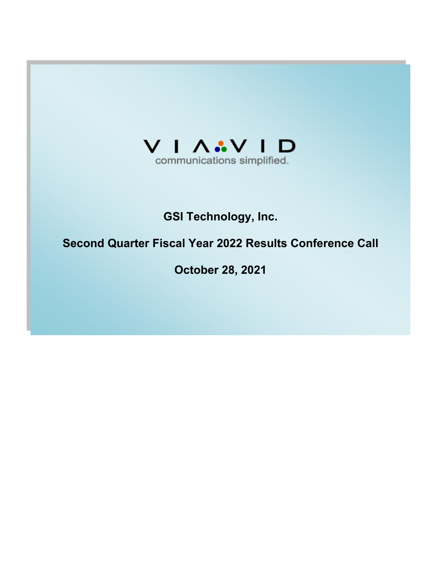

# **GSI Technology, Inc.**

# **Second Quarter Fiscal Year 2022 Results Conference Call**

**October 28, 2021**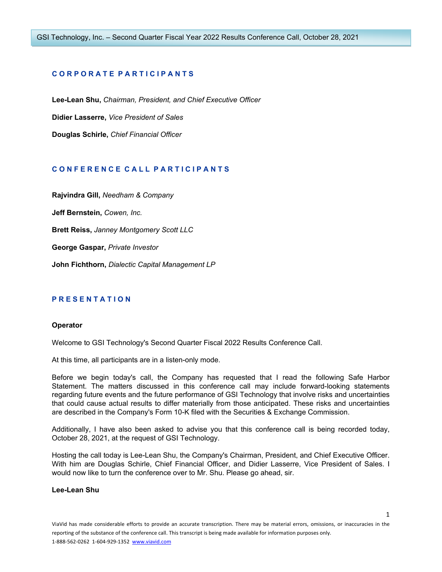# **C O R P O R A T E P A R T I C I P A N T S**

**Lee-Lean Shu,** *Chairman, President, and Chief Executive Officer* **Didier Lasserre,** *Vice President of Sales* **Douglas Schirle,** *Chief Financial Officer*

# **C O N F E R E N C E C A L L P A R T I C I P A N T S**

**Rajvindra Gill,** *Needham & Company* **Jeff Bernstein,** *Cowen, Inc.* **Brett Reiss,** *Janney Montgomery Scott LLC* **George Gaspar,** *Private Investor* **John Fichthorn,** *Dialectic Capital Management LP*

# **P R E S E N T A T I O N**

# **Operator**

Welcome to GSI Technology's Second Quarter Fiscal 2022 Results Conference Call.

At this time, all participants are in a listen-only mode.

Before we begin today's call, the Company has requested that I read the following Safe Harbor Statement. The matters discussed in this conference call may include forward-looking statements regarding future events and the future performance of GSI Technology that involve risks and uncertainties that could cause actual results to differ materially from those anticipated. These risks and uncertainties are described in the Company's Form 10-K filed with the Securities & Exchange Commission.

Additionally, I have also been asked to advise you that this conference call is being recorded today, October 28, 2021, at the request of GSI Technology.

Hosting the call today is Lee-Lean Shu, the Company's Chairman, President, and Chief Executive Officer. With him are Douglas Schirle, Chief Financial Officer, and Didier Lasserre, Vice President of Sales. I would now like to turn the conference over to Mr. Shu. Please go ahead, sir.

#### **Lee-Lean Shu**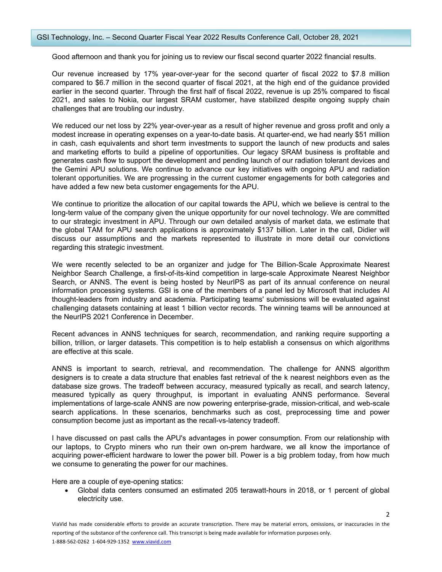# GSI Technology, Inc. – Second Quarter Fiscal Year 2022 Results Conference Call, October 28, 2021

Good afternoon and thank you for joining us to review our fiscal second quarter 2022 financial results.

Our revenue increased by 17% year-over-year for the second quarter of fiscal 2022 to \$7.8 million compared to \$6.7 million in the second quarter of fiscal 2021, at the high end of the guidance provided earlier in the second quarter. Through the first half of fiscal 2022, revenue is up 25% compared to fiscal 2021, and sales to Nokia, our largest SRAM customer, have stabilized despite ongoing supply chain challenges that are troubling our industry.

We reduced our net loss by 22% year-over-year as a result of higher revenue and gross profit and only a modest increase in operating expenses on a year-to-date basis. At quarter-end, we had nearly \$51 million in cash, cash equivalents and short term investments to support the launch of new products and sales and marketing efforts to build a pipeline of opportunities. Our legacy SRAM business is profitable and generates cash flow to support the development and pending launch of our radiation tolerant devices and the Gemini APU solutions. We continue to advance our key initiatives with ongoing APU and radiation tolerant opportunities. We are progressing in the current customer engagements for both categories and have added a few new beta customer engagements for the APU.

We continue to prioritize the allocation of our capital towards the APU, which we believe is central to the long-term value of the company given the unique opportunity for our novel technology. We are committed to our strategic investment in APU. Through our own detailed analysis of market data, we estimate that the global TAM for APU search applications is approximately \$137 billion. Later in the call, Didier will discuss our assumptions and the markets represented to illustrate in more detail our convictions regarding this strategic investment.

We were recently selected to be an organizer and judge for The Billion-Scale Approximate Nearest Neighbor Search Challenge, a first-of-its-kind competition in large-scale Approximate Nearest Neighbor Search, or ANNS. The event is being hosted by NeurIPS as part of its annual conference on neural information processing systems. GSI is one of the members of a panel led by Microsoft that includes AI thought-leaders from industry and academia. Participating teams' submissions will be evaluated against challenging datasets containing at least 1 billion vector records. The winning teams will be announced at the NeurIPS 2021 Conference in December.

Recent advances in ANNS techniques for search, recommendation, and ranking require supporting a billion, trillion, or larger datasets. This competition is to help establish a consensus on which algorithms are effective at this scale.

ANNS is important to search, retrieval, and recommendation. The challenge for ANNS algorithm designers is to create a data structure that enables fast retrieval of the k nearest neighbors even as the database size grows. The tradeoff between accuracy, measured typically as recall, and search latency, measured typically as query throughput, is important in evaluating ANNS performance. Several implementations of large-scale ANNS are now powering enterprise-grade, mission-critical, and web-scale search applications. In these scenarios, benchmarks such as cost, preprocessing time and power consumption become just as important as the recall-vs-latency tradeoff.

I have discussed on past calls the APU's advantages in power consumption. From our relationship with our laptops, to Crypto miners who run their own on-prem hardware, we all know the importance of acquiring power-efficient hardware to lower the power bill. Power is a big problem today, from how much we consume to generating the power for our machines.

Here are a couple of eye-opening statics:

• Global data centers consumed an estimated 205 terawatt-hours in 2018, or 1 percent of global electricity use.

 $\overline{\phantom{a}}$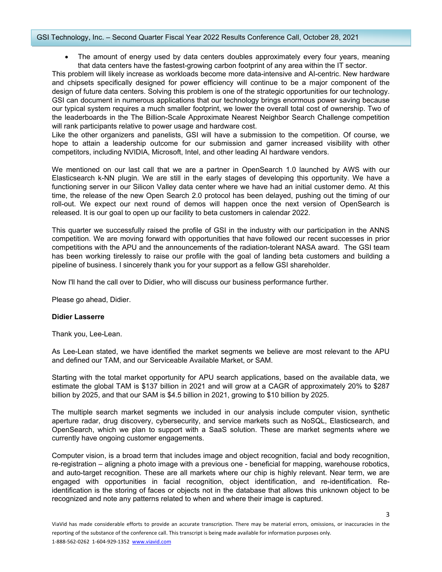# GSI Technology, Inc. – Second Quarter Fiscal Year 2022 Results Conference Call, October 28, 2021

• The amount of energy used by data centers doubles approximately every four years, meaning that data centers have the fastest-growing carbon footprint of any area within the IT sector.

This problem will likely increase as workloads become more data-intensive and AI-centric. New hardware and chipsets specifically designed for power efficiency will continue to be a major component of the design of future data centers. Solving this problem is one of the strategic opportunities for our technology. GSI can document in numerous applications that our technology brings enormous power saving because our typical system requires a much smaller footprint, we lower the overall total cost of ownership. Two of the leaderboards in the The Billion-Scale Approximate Nearest Neighbor Search Challenge competition will rank participants relative to power usage and hardware cost.

Like the other organizers and panelists, GSI will have a submission to the competition. Of course, we hope to attain a leadership outcome for our submission and garner increased visibility with other competitors, including NVIDIA, Microsoft, Intel, and other leading AI hardware vendors.

We mentioned on our last call that we are a partner in OpenSearch 1.0 launched by AWS with our Elasticsearch k-NN plugin. We are still in the early stages of developing this opportunity. We have a functioning server in our Silicon Valley data center where we have had an initial customer demo. At this time, the release of the new Open Search 2.0 protocol has been delayed, pushing out the timing of our roll-out. We expect our next round of demos will happen once the next version of OpenSearch is released. It is our goal to open up our facility to beta customers in calendar 2022.

This quarter we successfully raised the profile of GSI in the industry with our participation in the ANNS competition. We are moving forward with opportunities that have followed our recent successes in prior competitions with the APU and the announcements of the radiation-tolerant NASA award. The GSI team has been working tirelessly to raise our profile with the goal of landing beta customers and building a pipeline of business. I sincerely thank you for your support as a fellow GSI shareholder.

Now I'll hand the call over to Didier, who will discuss our business performance further.

Please go ahead, Didier.

# **Didier Lasserre**

Thank you, Lee-Lean.

As Lee-Lean stated, we have identified the market segments we believe are most relevant to the APU and defined our TAM, and our Serviceable Available Market, or SAM.

Starting with the total market opportunity for APU search applications, based on the available data, we estimate the global TAM is \$137 billion in 2021 and will grow at a CAGR of approximately 20% to \$287 billion by 2025, and that our SAM is \$4.5 billion in 2021, growing to \$10 billion by 2025.

The multiple search market segments we included in our analysis include computer vision, synthetic aperture radar, drug discovery, cybersecurity, and service markets such as NoSQL, Elasticsearch, and OpenSearch, which we plan to support with a SaaS solution. These are market segments where we currently have ongoing customer engagements.

Computer vision, is a broad term that includes image and object recognition, facial and body recognition, re-registration – aligning a photo image with a previous one - beneficial for mapping, warehouse robotics, and auto-target recognition. These are all markets where our chip is highly relevant. Near term, we are engaged with opportunities in facial recognition, object identification, and re-identification. Reidentification is the storing of faces or objects not in the database that allows this unknown object to be recognized and note any patterns related to when and where their image is captured.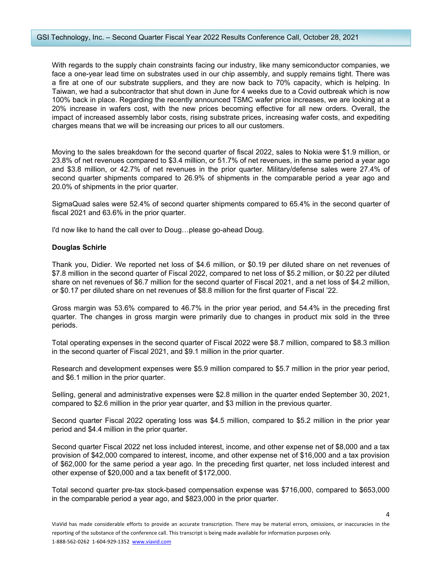With regards to the supply chain constraints facing our industry, like many semiconductor companies, we face a one-year lead time on substrates used in our chip assembly, and supply remains tight. There was a fire at one of our substrate suppliers, and they are now back to 70% capacity, which is helping. In Taiwan, we had a subcontractor that shut down in June for 4 weeks due to a Covid outbreak which is now 100% back in place. Regarding the recently announced TSMC wafer price increases, we are looking at a 20% increase in wafers cost, with the new prices becoming effective for all new orders. Overall, the impact of increased assembly labor costs, rising substrate prices, increasing wafer costs, and expediting charges means that we will be increasing our prices to all our customers.

Moving to the sales breakdown for the second quarter of fiscal 2022, sales to Nokia were \$1.9 million, or 23.8% of net revenues compared to \$3.4 million, or 51.7% of net revenues, in the same period a year ago and \$3.8 million, or 42.7% of net revenues in the prior quarter. Military/defense sales were 27.4% of second quarter shipments compared to 26.9% of shipments in the comparable period a year ago and 20.0% of shipments in the prior quarter.

SigmaQuad sales were 52.4% of second quarter shipments compared to 65.4% in the second quarter of fiscal 2021 and 63.6% in the prior quarter.

I'd now like to hand the call over to Doug…please go-ahead Doug.

# **Douglas Schirle**

Thank you, Didier. We reported net loss of \$4.6 million, or \$0.19 per diluted share on net revenues of \$7.8 million in the second quarter of Fiscal 2022, compared to net loss of \$5.2 million, or \$0.22 per diluted share on net revenues of \$6.7 million for the second quarter of Fiscal 2021, and a net loss of \$4.2 million, or \$0.17 per diluted share on net revenues of \$8.8 million for the first quarter of Fiscal '22.

Gross margin was 53.6% compared to 46.7% in the prior year period, and 54.4% in the preceding first quarter. The changes in gross margin were primarily due to changes in product mix sold in the three periods.

Total operating expenses in the second quarter of Fiscal 2022 were \$8.7 million, compared to \$8.3 million in the second quarter of Fiscal 2021, and \$9.1 million in the prior quarter.

Research and development expenses were \$5.9 million compared to \$5.7 million in the prior year period, and \$6.1 million in the prior quarter.

Selling, general and administrative expenses were \$2.8 million in the quarter ended September 30, 2021, compared to \$2.6 million in the prior year quarter, and \$3 million in the previous quarter.

Second quarter Fiscal 2022 operating loss was \$4.5 million, compared to \$5.2 million in the prior year period and \$4.4 million in the prior quarter.

Second quarter Fiscal 2022 net loss included interest, income, and other expense net of \$8,000 and a tax provision of \$42,000 compared to interest, income, and other expense net of \$16,000 and a tax provision of \$62,000 for the same period a year ago. In the preceding first quarter, net loss included interest and other expense of \$20,000 and a tax benefit of \$172,000.

Total second quarter pre-tax stock-based compensation expense was \$716,000, compared to \$653,000 in the comparable period a year ago, and \$823,000 in the prior quarter.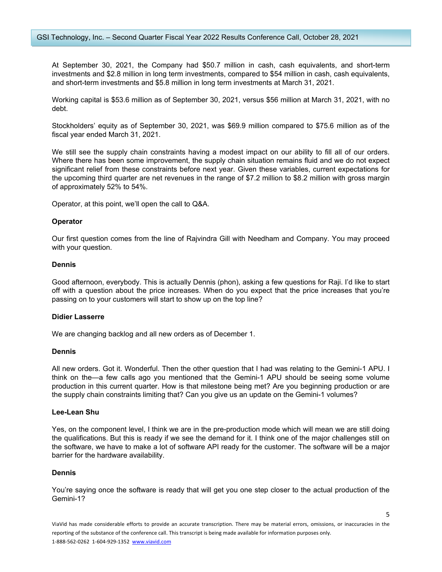At September 30, 2021, the Company had \$50.7 million in cash, cash equivalents, and short-term investments and \$2.8 million in long term investments, compared to \$54 million in cash, cash equivalents, and short-term investments and \$5.8 million in long term investments at March 31, 2021.

Working capital is \$53.6 million as of September 30, 2021, versus \$56 million at March 31, 2021, with no debt.

Stockholders' equity as of September 30, 2021, was \$69.9 million compared to \$75.6 million as of the fiscal year ended March 31, 2021.

We still see the supply chain constraints having a modest impact on our ability to fill all of our orders. Where there has been some improvement, the supply chain situation remains fluid and we do not expect significant relief from these constraints before next year. Given these variables, current expectations for the upcoming third quarter are net revenues in the range of \$7.2 million to \$8.2 million with gross margin of approximately 52% to 54%.

Operator, at this point, we'll open the call to Q&A.

#### **Operator**

Our first question comes from the line of Rajvindra Gill with Needham and Company. You may proceed with your question.

# **Dennis**

Good afternoon, everybody. This is actually Dennis (phon), asking a few questions for Raji. I'd like to start off with a question about the price increases. When do you expect that the price increases that you're passing on to your customers will start to show up on the top line?

# **Didier Lasserre**

We are changing backlog and all new orders as of December 1.

#### **Dennis**

All new orders. Got it. Wonderful. Then the other question that I had was relating to the Gemini-1 APU. I think on the—a few calls ago you mentioned that the Gemini-1 APU should be seeing some volume production in this current quarter. How is that milestone being met? Are you beginning production or are the supply chain constraints limiting that? Can you give us an update on the Gemini-1 volumes?

#### **Lee-Lean Shu**

Yes, on the component level, I think we are in the pre-production mode which will mean we are still doing the qualifications. But this is ready if we see the demand for it. I think one of the major challenges still on the software, we have to make a lot of software API ready for the customer. The software will be a major barrier for the hardware availability.

### **Dennis**

You're saying once the software is ready that will get you one step closer to the actual production of the Gemini-1?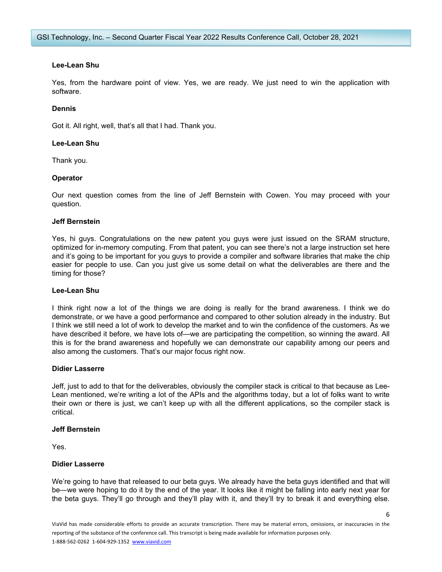# **Lee-Lean Shu**

Yes, from the hardware point of view. Yes, we are ready. We just need to win the application with software.

# **Dennis**

Got it. All right, well, that's all that I had. Thank you.

# **Lee-Lean Shu**

Thank you.

# **Operator**

Our next question comes from the line of Jeff Bernstein with Cowen. You may proceed with your question.

# **Jeff Bernstein**

Yes, hi guys. Congratulations on the new patent you guys were just issued on the SRAM structure, optimized for in-memory computing. From that patent, you can see there's not a large instruction set here and it's going to be important for you guys to provide a compiler and software libraries that make the chip easier for people to use. Can you just give us some detail on what the deliverables are there and the timing for those?

#### **Lee-Lean Shu**

I think right now a lot of the things we are doing is really for the brand awareness. I think we do demonstrate, or we have a good performance and compared to other solution already in the industry. But I think we still need a lot of work to develop the market and to win the confidence of the customers. As we have described it before, we have lots of—we are participating the competition, so winning the award. All this is for the brand awareness and hopefully we can demonstrate our capability among our peers and also among the customers. That's our major focus right now.

# **Didier Lasserre**

Jeff, just to add to that for the deliverables, obviously the compiler stack is critical to that because as Lee-Lean mentioned, we're writing a lot of the APIs and the algorithms today, but a lot of folks want to write their own or there is just, we can't keep up with all the different applications, so the compiler stack is critical.

#### **Jeff Bernstein**

Yes.

# **Didier Lasserre**

We're going to have that released to our beta guys. We already have the beta guys identified and that will be—we were hoping to do it by the end of the year. It looks like it might be falling into early next year for the beta guys. They'll go through and they'll play with it, and they'll try to break it and everything else.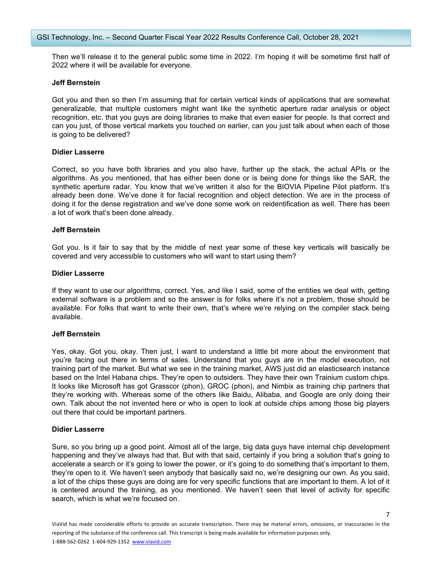GSI Technology, Inc. – Second Quarter Fiscal Year 2022 Results Conference Call, October 28, 2021

Then we'll release it to the general public some time in 2022. I'm hoping it will be sometime first half of 2022 where it will be available for everyone.

# **Jeff Bernstein**

Got you and then so then I'm assuming that for certain vertical kinds of applications that are somewhat generalizable, that multiple customers might want like the synthetic aperture radar analysis or object recognition, etc. that you guys are doing libraries to make that even easier for people. Is that correct and can you just, of those vertical markets you touched on earlier, can you just talk about when each of those is going to be delivered?

# **Didier Lasserre**

Correct, so you have both libraries and you also have, further up the stack, the actual APIs or the algorithms. As you mentioned, that has either been done or is being done for things like the SAR, the synthetic aperture radar. You know that we've written it also for the BIOVIA Pipeline Pilot platform. It's already been done. We've done it for facial recognition and object detection. We are in the process of doing it for the dense registration and we've done some work on reidentification as well. There has been a lot of work that's been done already.

# **Jeff Bernstein**

Got you. Is it fair to say that by the middle of next year some of these key verticals will basically be covered and very accessible to customers who will want to start using them?

# **Didier Lasserre**

If they want to use our algorithms, correct. Yes, and like I said, some of the entities we deal with, getting external software is a problem and so the answer is for folks where it's not a problem, those should be available. For folks that want to write their own, that's where we're relying on the compiler stack being available.

# **Jeff Bernstein**

Yes, okay. Got you, okay. Then just, I want to understand a little bit more about the environment that you're facing out there in terms of sales. Understand that you guys are in the model execution, not training part of the market. But what we see in the training market, AWS just did an elasticsearch instance based on the Intel Habana chips. They're open to outsiders. They have their own Trainium custom chips. It looks like Microsoft has got Grasscor (phon), GROC (phon), and Nimbix as training chip partners that they're working with. Whereas some of the others like Baidu, Alibaba, and Google are only doing their own. Talk about the not invented here or who is open to look at outside chips among those big players out there that could be important partners.

# **Didier Lasserre**

Sure, so you bring up a good point. Almost all of the large, big data guys have internal chip development happening and they've always had that. But with that said, certainly if you bring a solution that's going to accelerate a search or it's going to lower the power, or it's going to do something that's important to them, they're open to it. We haven't seen anybody that basically said no, we're designing our own. As you said, a lot of the chips these guys are doing are for very specific functions that are important to them. A lot of it is centered around the training, as you mentioned. We haven't seen that level of activity for specific search, which is what we're focused on.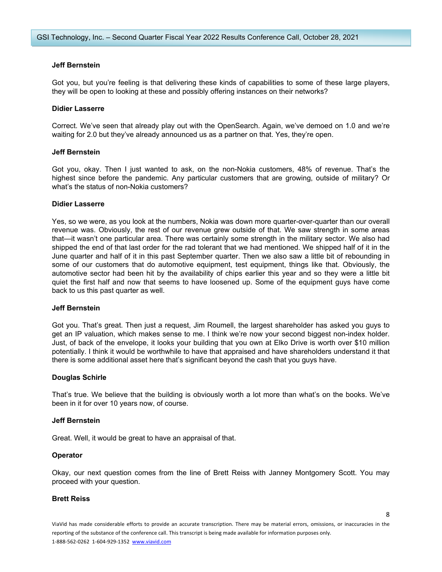# **Jeff Bernstein**

Got you, but you're feeling is that delivering these kinds of capabilities to some of these large players, they will be open to looking at these and possibly offering instances on their networks?

# **Didier Lasserre**

Correct. We've seen that already play out with the OpenSearch. Again, we've demoed on 1.0 and we're waiting for 2.0 but they've already announced us as a partner on that. Yes, they're open.

# **Jeff Bernstein**

Got you, okay. Then I just wanted to ask, on the non-Nokia customers, 48% of revenue. That's the highest since before the pandemic. Any particular customers that are growing, outside of military? Or what's the status of non-Nokia customers?

#### **Didier Lasserre**

Yes, so we were, as you look at the numbers, Nokia was down more quarter-over-quarter than our overall revenue was. Obviously, the rest of our revenue grew outside of that. We saw strength in some areas that—it wasn't one particular area. There was certainly some strength in the military sector. We also had shipped the end of that last order for the rad tolerant that we had mentioned. We shipped half of it in the June quarter and half of it in this past September quarter. Then we also saw a little bit of rebounding in some of our customers that do automotive equipment, test equipment, things like that. Obviously, the automotive sector had been hit by the availability of chips earlier this year and so they were a little bit quiet the first half and now that seems to have loosened up. Some of the equipment guys have come back to us this past quarter as well.

#### **Jeff Bernstein**

Got you. That's great. Then just a request, Jim Roumell, the largest shareholder has asked you guys to get an IP valuation, which makes sense to me. I think we're now your second biggest non-index holder. Just, of back of the envelope, it looks your building that you own at Elko Drive is worth over \$10 million potentially. I think it would be worthwhile to have that appraised and have shareholders understand it that there is some additional asset here that's significant beyond the cash that you guys have.

#### **Douglas Schirle**

That's true. We believe that the building is obviously worth a lot more than what's on the books. We've been in it for over 10 years now, of course.

#### **Jeff Bernstein**

Great. Well, it would be great to have an appraisal of that.

#### **Operator**

Okay, our next question comes from the line of Brett Reiss with Janney Montgomery Scott. You may proceed with your question.

### **Brett Reiss**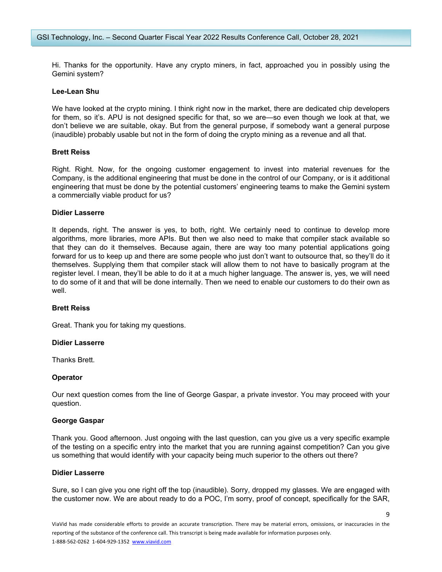Hi. Thanks for the opportunity. Have any crypto miners, in fact, approached you in possibly using the Gemini system?

## **Lee-Lean Shu**

We have looked at the crypto mining. I think right now in the market, there are dedicated chip developers for them, so it's. APU is not designed specific for that, so we are—so even though we look at that, we don't believe we are suitable, okay. But from the general purpose, if somebody want a general purpose (inaudible) probably usable but not in the form of doing the crypto mining as a revenue and all that.

# **Brett Reiss**

Right. Right. Now, for the ongoing customer engagement to invest into material revenues for the Company, is the additional engineering that must be done in the control of our Company, or is it additional engineering that must be done by the potential customers' engineering teams to make the Gemini system a commercially viable product for us?

# **Didier Lasserre**

It depends, right. The answer is yes, to both, right. We certainly need to continue to develop more algorithms, more libraries, more APIs. But then we also need to make that compiler stack available so that they can do it themselves. Because again, there are way too many potential applications going forward for us to keep up and there are some people who just don't want to outsource that, so they'll do it themselves. Supplying them that compiler stack will allow them to not have to basically program at the register level. I mean, they'll be able to do it at a much higher language. The answer is, yes, we will need to do some of it and that will be done internally. Then we need to enable our customers to do their own as well.

#### **Brett Reiss**

Great. Thank you for taking my questions.

#### **Didier Lasserre**

Thanks Brett.

#### **Operator**

Our next question comes from the line of George Gaspar, a private investor. You may proceed with your question.

#### **George Gaspar**

Thank you. Good afternoon. Just ongoing with the last question, can you give us a very specific example of the testing on a specific entry into the market that you are running against competition? Can you give us something that would identify with your capacity being much superior to the others out there?

### **Didier Lasserre**

Sure, so I can give you one right off the top (inaudible). Sorry, dropped my glasses. We are engaged with the customer now. We are about ready to do a POC, I'm sorry, proof of concept, specifically for the SAR,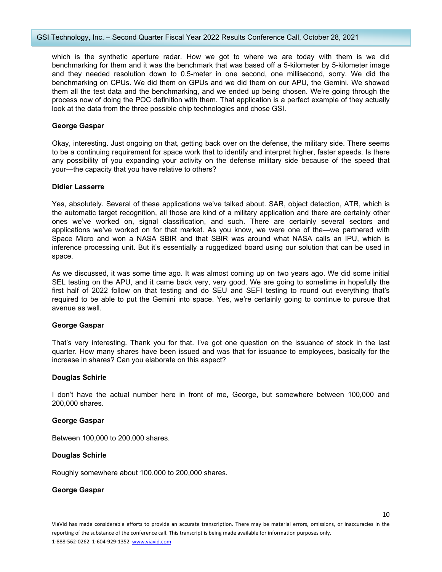which is the synthetic aperture radar. How we got to where we are today with them is we did benchmarking for them and it was the benchmark that was based off a 5-kilometer by 5-kilometer image and they needed resolution down to 0.5-meter in one second, one millisecond, sorry. We did the benchmarking on CPUs. We did them on GPUs and we did them on our APU, the Gemini. We showed them all the test data and the benchmarking, and we ended up being chosen. We're going through the process now of doing the POC definition with them. That application is a perfect example of they actually look at the data from the three possible chip technologies and chose GSI.

# **George Gaspar**

Okay, interesting. Just ongoing on that, getting back over on the defense, the military side. There seems to be a continuing requirement for space work that to identify and interpret higher, faster speeds. Is there any possibility of you expanding your activity on the defense military side because of the speed that your—the capacity that you have relative to others?

# **Didier Lasserre**

Yes, absolutely. Several of these applications we've talked about. SAR, object detection, ATR, which is the automatic target recognition, all those are kind of a military application and there are certainly other ones we've worked on, signal classification, and such. There are certainly several sectors and applications we've worked on for that market. As you know, we were one of the—we partnered with Space Micro and won a NASA SBIR and that SBIR was around what NASA calls an IPU, which is inference processing unit. But it's essentially a ruggedized board using our solution that can be used in space.

As we discussed, it was some time ago. It was almost coming up on two years ago. We did some initial SEL testing on the APU, and it came back very, very good. We are going to sometime in hopefully the first half of 2022 follow on that testing and do SEU and SEFI testing to round out everything that's required to be able to put the Gemini into space. Yes, we're certainly going to continue to pursue that avenue as well.

# **George Gaspar**

That's very interesting. Thank you for that. I've got one question on the issuance of stock in the last quarter. How many shares have been issued and was that for issuance to employees, basically for the increase in shares? Can you elaborate on this aspect?

# **Douglas Schirle**

I don't have the actual number here in front of me, George, but somewhere between 100,000 and 200,000 shares.

## **George Gaspar**

Between 100,000 to 200,000 shares.

# **Douglas Schirle**

Roughly somewhere about 100,000 to 200,000 shares.

#### **George Gaspar**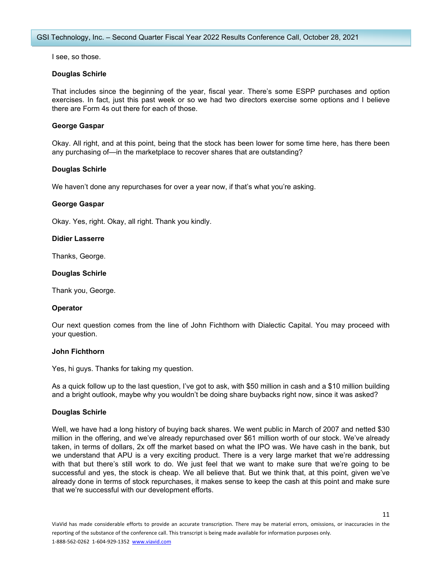I see, so those.

# **Douglas Schirle**

That includes since the beginning of the year, fiscal year. There's some ESPP purchases and option exercises. In fact, just this past week or so we had two directors exercise some options and I believe there are Form 4s out there for each of those.

# **George Gaspar**

Okay. All right, and at this point, being that the stock has been lower for some time here, has there been any purchasing of—in the marketplace to recover shares that are outstanding?

# **Douglas Schirle**

We haven't done any repurchases for over a year now, if that's what you're asking.

# **George Gaspar**

Okay. Yes, right. Okay, all right. Thank you kindly.

# **Didier Lasserre**

Thanks, George.

# **Douglas Schirle**

Thank you, George.

# **Operator**

Our next question comes from the line of John Fichthorn with Dialectic Capital. You may proceed with your question.

# **John Fichthorn**

Yes, hi guys. Thanks for taking my question.

As a quick follow up to the last question, I've got to ask, with \$50 million in cash and a \$10 million building and a bright outlook, maybe why you wouldn't be doing share buybacks right now, since it was asked?

# **Douglas Schirle**

Well, we have had a long history of buying back shares. We went public in March of 2007 and netted \$30 million in the offering, and we've already repurchased over \$61 million worth of our stock. We've already taken, in terms of dollars, 2x off the market based on what the IPO was. We have cash in the bank, but we understand that APU is a very exciting product. There is a very large market that we're addressing with that but there's still work to do. We just feel that we want to make sure that we're going to be successful and yes, the stock is cheap. We all believe that. But we think that, at this point, given we've already done in terms of stock repurchases, it makes sense to keep the cash at this point and make sure that we're successful with our development efforts.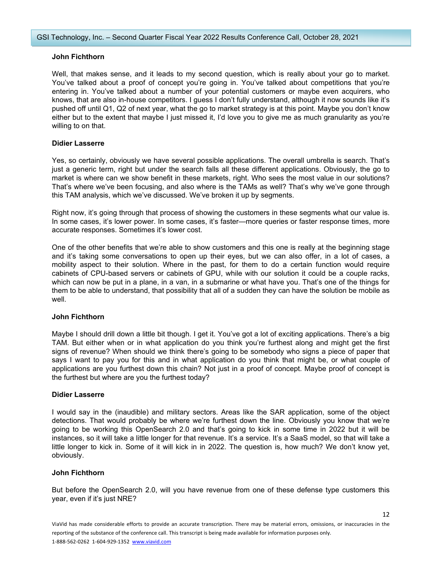# **John Fichthorn**

Well, that makes sense, and it leads to my second question, which is really about your go to market. You've talked about a proof of concept you're going in. You've talked about competitions that you're entering in. You've talked about a number of your potential customers or maybe even acquirers, who knows, that are also in-house competitors. I guess I don't fully understand, although it now sounds like it's pushed off until Q1, Q2 of next year, what the go to market strategy is at this point. Maybe you don't know either but to the extent that maybe I just missed it, I'd love you to give me as much granularity as you're willing to on that.

# **Didier Lasserre**

Yes, so certainly, obviously we have several possible applications. The overall umbrella is search. That's just a generic term, right but under the search falls all these different applications. Obviously, the go to market is where can we show benefit in these markets, right. Who sees the most value in our solutions? That's where we've been focusing, and also where is the TAMs as well? That's why we've gone through this TAM analysis, which we've discussed. We've broken it up by segments.

Right now, it's going through that process of showing the customers in these segments what our value is. In some cases, it's lower power. In some cases, it's faster—more queries or faster response times, more accurate responses. Sometimes it's lower cost.

One of the other benefits that we're able to show customers and this one is really at the beginning stage and it's taking some conversations to open up their eyes, but we can also offer, in a lot of cases, a mobility aspect to their solution. Where in the past, for them to do a certain function would require cabinets of CPU-based servers or cabinets of GPU, while with our solution it could be a couple racks, which can now be put in a plane, in a van, in a submarine or what have you. That's one of the things for them to be able to understand, that possibility that all of a sudden they can have the solution be mobile as well.

# **John Fichthorn**

Maybe I should drill down a little bit though. I get it. You've got a lot of exciting applications. There's a big TAM. But either when or in what application do you think you're furthest along and might get the first signs of revenue? When should we think there's going to be somebody who signs a piece of paper that says I want to pay you for this and in what application do you think that might be, or what couple of applications are you furthest down this chain? Not just in a proof of concept. Maybe proof of concept is the furthest but where are you the furthest today?

# **Didier Lasserre**

I would say in the (inaudible) and military sectors. Areas like the SAR application, some of the object detections. That would probably be where we're furthest down the line. Obviously you know that we're going to be working this OpenSearch 2.0 and that's going to kick in some time in 2022 but it will be instances, so it will take a little longer for that revenue. It's a service. It's a SaaS model, so that will take a little longer to kick in. Some of it will kick in in 2022. The question is, how much? We don't know yet, obviously.

# **John Fichthorn**

But before the OpenSearch 2.0, will you have revenue from one of these defense type customers this year, even if it's just NRE?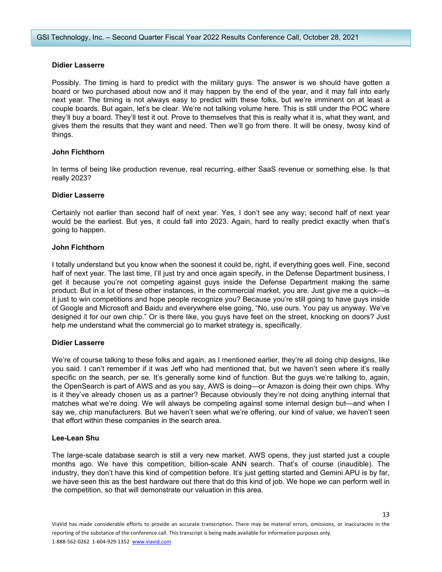# **Didier Lasserre**

Possibly. The timing is hard to predict with the military guys. The answer is we should have gotten a board or two purchased about now and it may happen by the end of the year, and it may fall into early next year. The timing is not always easy to predict with these folks, but we're imminent on at least a couple boards. But again, let's be clear. We're not talking volume here. This is still under the POC where they'll buy a board. They'll test it out. Prove to themselves that this is really what it is, what they want, and gives them the results that they want and need. Then we'll go from there. It will be onesy, twosy kind of things.

# **John Fichthorn**

In terms of being like production revenue, real recurring, either SaaS revenue or something else. Is that really 2023?

# **Didier Lasserre**

Certainly not earlier than second half of next year. Yes, I don't see any way; second half of next year would be the earliest. But yes, it could fall into 2023. Again, hard to really predict exactly when that's going to happen.

# **John Fichthorn**

I totally understand but you know when the soonest it could be, right, if everything goes well. Fine, second half of next year. The last time, I'll just try and once again specify, in the Defense Department business, I get it because you're not competing against guys inside the Defense Department making the same product. But in a lot of these other instances, in the commercial market, you are. Just give me a quick—is it just to win competitions and hope people recognize you? Because you're still going to have guys inside of Google and Microsoft and Baidu and everywhere else going, "No, use ours. You pay us anyway. We've designed it for our own chip." Or is there like, you guys have feet on the street, knocking on doors? Just help me understand what the commercial go to market strategy is, specifically.

# **Didier Lasserre**

We're of course talking to these folks and again, as I mentioned earlier, they're all doing chip designs, like you said. I can't remember if it was Jeff who had mentioned that, but we haven't seen where it's really specific on the search, per se. It's generally some kind of function. But the guys we're talking to, again, the OpenSearch is part of AWS and as you say, AWS is doing—or Amazon is doing their own chips. Why is it they've already chosen us as a partner? Because obviously they're not doing anything internal that matches what we're doing. We will always be competing against some internal design but—and when I say we, chip manufacturers. But we haven't seen what we're offering, our kind of value, we haven't seen that effort within these companies in the search area.

#### **Lee-Lean Shu**

The large-scale database search is still a very new market. AWS opens, they just started just a couple months ago. We have this competition, billion-scale ANN search. That's of course (inaudible). The industry, they don't have this kind of competition before. It's just getting started and Gemini APU is by far, we have seen this as the best hardware out there that do this kind of job. We hope we can perform well in the competition, so that will demonstrate our valuation in this area.